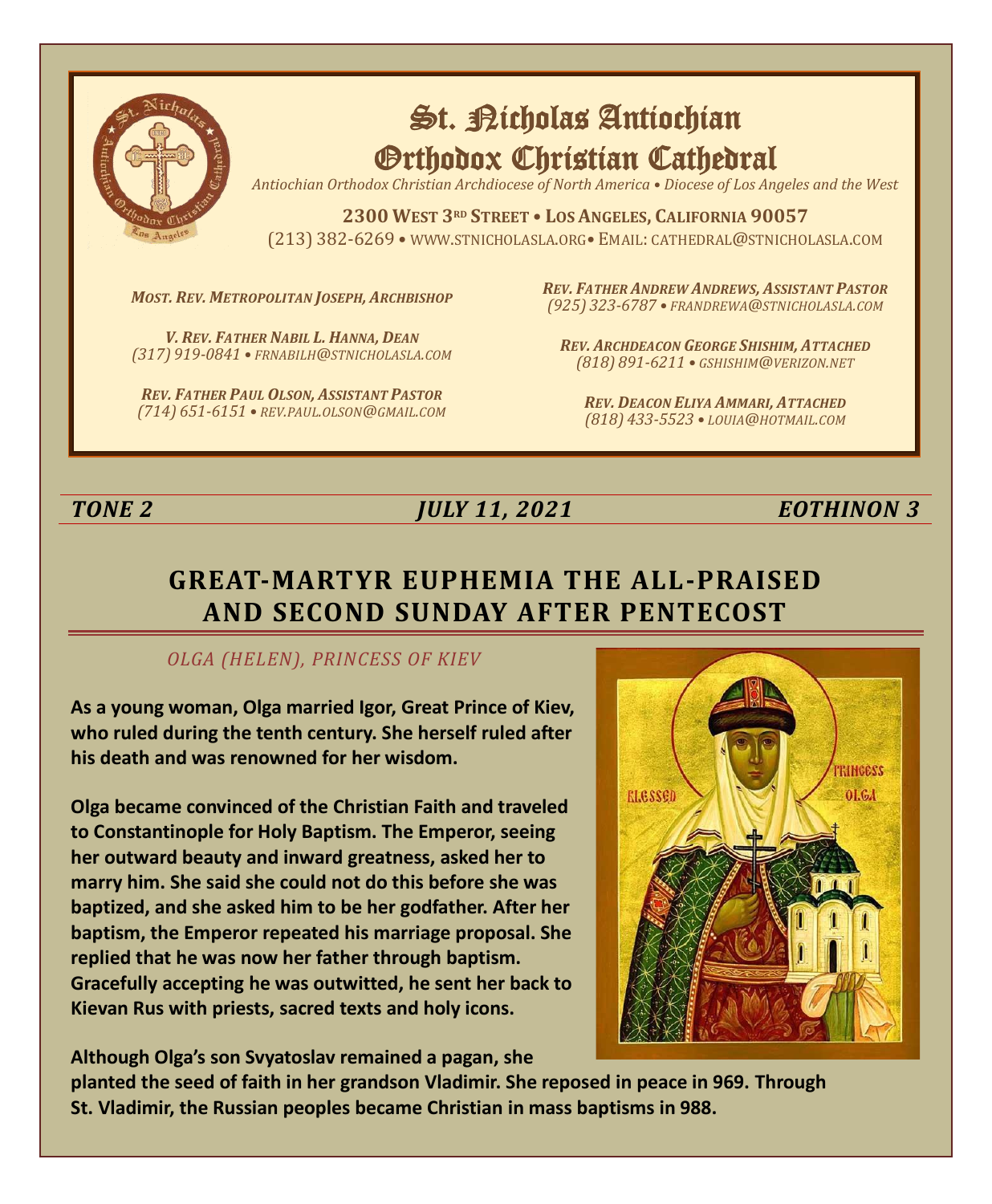

# St. Richolas Antiochian Orthodox Christian Cathedral

*Antiochian Orthodox Christian Archdiocese of North America • Diocese of Los Angeles and the West*

**2300 WEST 3RD STREET • LOS ANGELES, CALIFORNIA 90057** (213) 382-6269 • WWW.STNICHOLASLA.ORG• EMAIL: CATHEDRAL@STNICHOLASLA.COM

*MOST. REV. METROPOLITAN JOSEPH, ARCHBISHOP*

*V. REV. FATHER NABIL L. HANNA, DEAN (317) 919-0841 • FRNABILH@STNICHOLASLA.COM*

*REV. FATHER PAUL OLSON, ASSISTANT PASTOR (714) 651-6151 • REV.PAUL.OLSON@GMAIL.COM* *REV. FATHER ANDREW ANDREWS, ASSISTANT PASTOR (925) 323-6787 • FRANDREWA@STNICHOLASLA.COM*

*REV. ARCHDEACON GEORGE SHISHIM, ATTACHED (818) 891-6211 • GSHISHIM@VERIZON.NET*

*REV. DEACON ELIYA AMMARI, ATTACHED (818) 433-5523 • LOUIA@HOTMAIL.COM*

# *TONE 2 JULY 11, 2021 EOTHINON 3*

# **GREAT-MARTYR EUPHEMIA THE ALL-PRAISED AND SECOND SUNDAY AFTER PENTECOST**

#### *OLGA (HELEN), PRINCESS OF KIEV*

**As a young woman, Olga married Igor, Great Prince of Kiev, who ruled during the tenth century. She herself ruled after his death and was renowned for her wisdom.**

**Olga became convinced of the Christian Faith and traveled to Constantinople for Holy Baptism. The Emperor, seeing her outward beauty and inward greatness, asked her to marry him. She said she could not do this before she was baptized, and she asked him to be her godfather. After her baptism, the Emperor repeated his marriage proposal. She replied that he was now her father through baptism. Gracefully accepting he was outwitted, he sent her back to Kievan Rus with priests, sacred texts and holy icons.** 



**Although Olga's son Svyatoslav remained a pagan, she** 

**planted the seed of faith in her grandson Vladimir. She reposed in peace in 969. Through St. Vladimir, the Russian peoples became Christian in mass baptisms in 988.**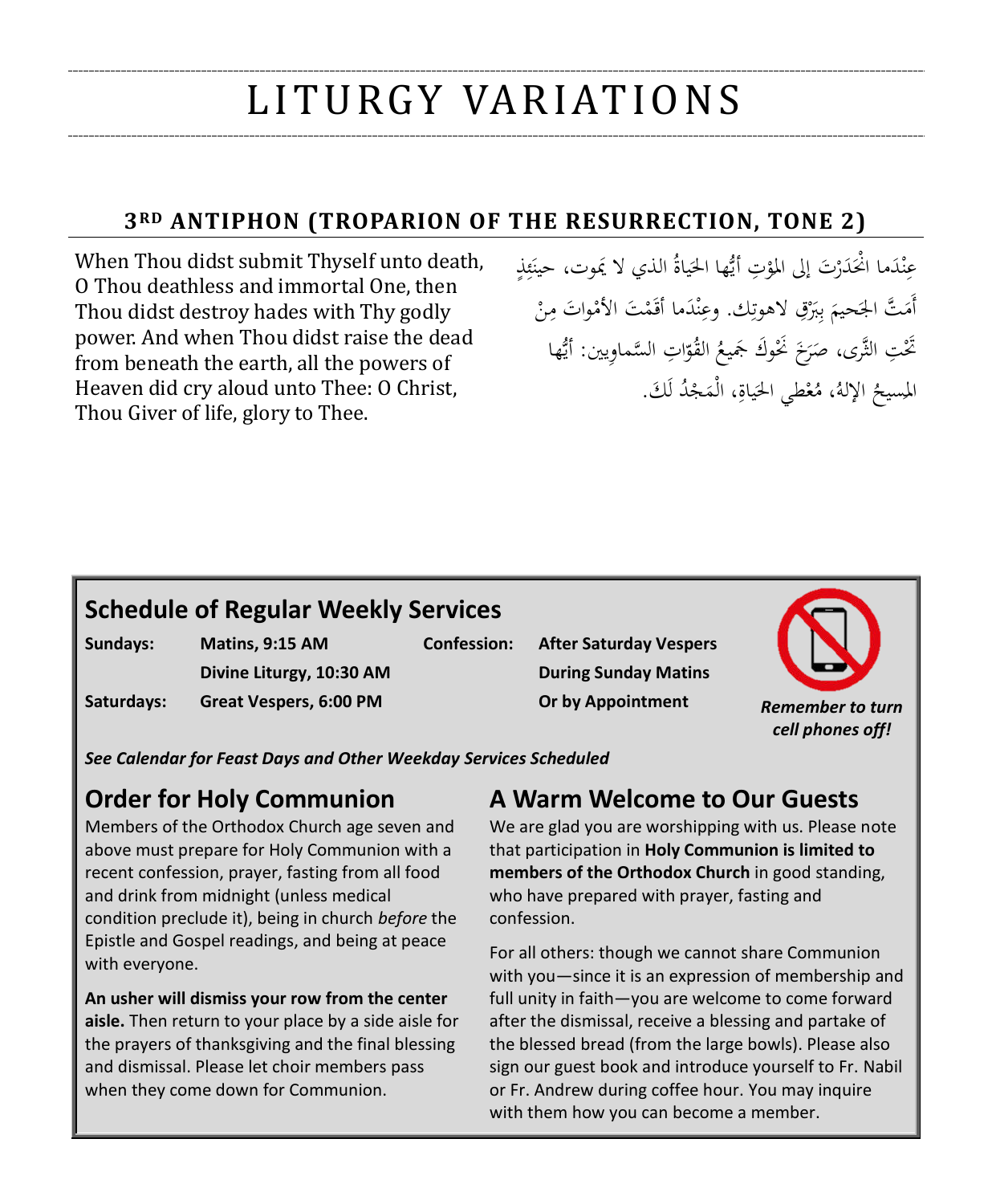# LI T U RGY VA R I AT I O N S

### **3RD ANTIPHON (TROPARION OF THE RESURRECTION, TONE 2)**

When Thou didst submit Thyself unto death, O Thou deathless and immortal One, then Thou didst destroy hades with Thy godly power. And when Thou didst raise the dead from beneath the earth, all the powers of Heaven did cry aloud unto Thee: O Christ, Thou Giver of life, glory to Thee.

عِنْدَما انْحَدَرْتَ إلى المؤتِ أَيُّها الحَياةُ الذي لا يَموت، حينَئِذٍ ءِ<br>بُ ئ ٞ َ ْ .<br>ا ن .<br>-<br>-أَمَتَّ الجَحيمَ بِبَرْقِ لاهوتِك. وعِنْدَما أَقَمْتَ الأَمْواتَ مِنْ ِ **ا** ن ب َ  $\overline{\phantom{a}}$ تَّحْتِ الثَّرى، صَرَخَ نَحْوكَ جَميعُ القُوّاتِ السَّماوِيين: أَيُّها ا  $\ddot{\phantom{0}}$ المسيحُ الإلهُ، مُعْطي الحَياةِ، الْمَجْدُ لَكَ.<br>-لَ **ٔ** : ب<br>أ

# **Schedule of Regular Weekly Services**

**Sundays: Matins, 9:15 AM Saturdays: Great Vespers, 6:00 PM**

**Divine Liturgy, 10:30 AM**

**Confession: After Saturday Vespers During Sunday Matins Or by Appointment** *Remember to turn* 



*See Calendar for Feast Days and Other Weekday Services Scheduled*

# **Order for Holy Communion**

Members of the Orthodox Church age seven and above must prepare for Holy Communion with a recent confession, prayer, fasting from all food and drink from midnight (unless medical condition preclude it), being in church *before* the Epistle and Gospel readings, and being at peace with everyone.

**An usher will dismiss your row from the center aisle.** Then return to your place by a side aisle for the prayers of thanksgiving and the final blessing and dismissal. Please let choir members pass when they come down for Communion.

# **A Warm Welcome to Our Guests**

We are glad you are worshipping with us. Please note that participation in **Holy Communion is limited to members of the Orthodox Church** in good standing, who have prepared with prayer, fasting and confession.

For all others: though we cannot share Communion with you—since it is an expression of membership and full unity in faith—you are welcome to come forward after the dismissal, receive a blessing and partake of the blessed bread (from the large bowls). Please also sign our guest book and introduce yourself to Fr. Nabil or Fr. Andrew during coffee hour. You may inquire with them how you can become a member.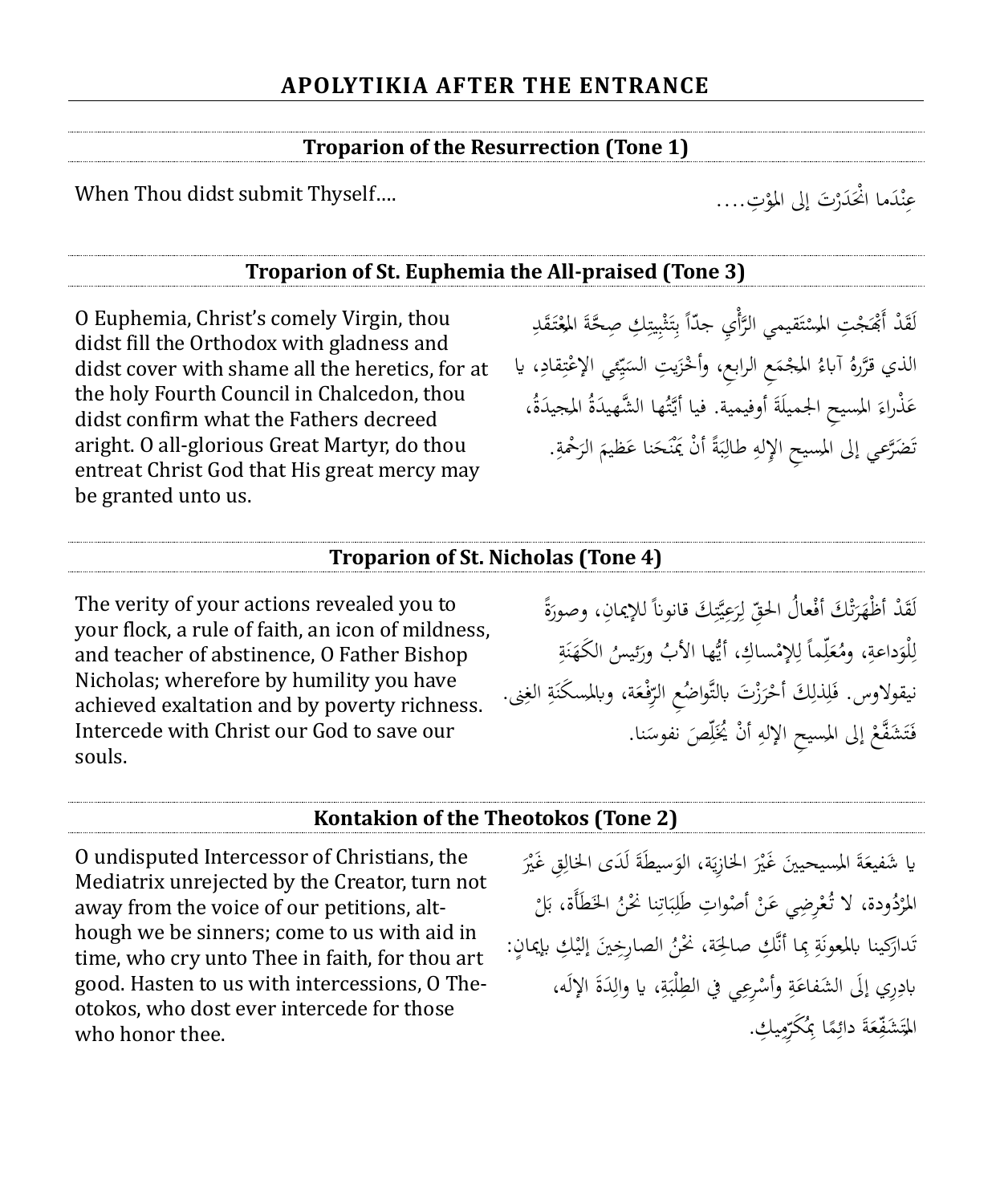#### **Troparion of the Resurrection (Tone 1)**

When Thou didst submit Thyself....

ْ عِنْدَما انْحَدَرْتَ إلى المؤتِ.... ن ِ

#### **Troparion of St. Euphemia the All-praised (Tone 3)**

O Euphemia, Christ's comely Virgin, thou didst fill the Orthodox with gladness and didst cover with shame all the heretics, for at the holy Fourth Council in Chalcedon, thou didst confirm what the Fathers decreed aright. O all-glorious Great Martyr, do thou entreat Christ God that His great mercy may be granted unto us.

لَقَدْ أَبْهَجْتِ المسْتَقيمي الرَّأْيِ جدّاً بِتَثْبِيتِكِ صِحَّةَ المِعْتَقَدِ ;ّ ْ ُ ُ ï ِ ب **ٔ** ث **ئ**ر ِ ب  $\overline{a}$ ة<br>أ ت **ـ ّ** الذي قرَّرهُ آباءُ المجْمَعِ الرابعِ، وأَخْزَيتِ السَيِّمِي الإعْتِقادِ، يا ِ ٍ<br>ڋ ت **ٔ** ِ ي  $\ddot{\phantom{0}}$ ي .<br>ن .<br>.  $\ddot{\phantom{0}}$ .<br>. عَذْراءَ المسيحِ الجميلَةَ أوفيمية. فيا أَيَّتُها الشَّهيدَةُ المجيدَةُ، ة<br>م َ **ء** َ ا<br>ا نَضَرَّعي إلى المسيحِ الإِلهِ طالِبَةً أنْ يَمْنَحَنا عَظيمَ الرَحْمةِ. <u>بة</u> .<br>ر َ َ ن أ <u>ت</u>  $\ddot{\cdot}$ ب ِ ِ ت

#### **Troparion of St. Nicholas (Tone 4)**

The verity of your actions revealed you to your flock, a rule of faith, an icon of mildness, and teacher of abstinence, O Father Bishop Nicholas; wherefore by humility you have achieved exaltation and by poverty richness. Intercede with Christ our God to save our souls.

ً لَقَدْ أظْهَرَتْكَ أفْعالُ الحقِّ لِرَعِيَّتِكَ قانوناً للإيمانِ، وصورَةً َ ِ ي ُ<br>ر ِ<br>لہ ل ِ ت ر<br>ا َ لْوَداعةِ، ومُعَلِّماً لِلإِمْساكِ، أَيُّها الأَبُ ورَئيسُ الكَهَنَةِ<br>. َ ِ ل <u>بة</u> .<br>م ن َ َ ِ ٳٚ َ ة<br>4 نيقولاوس. فَلِذَلِكَ أَحْرَزْتَ بالتَّواضُعِ الرِّفْعَة، وبالمسكَنَةِ الغِنى. ٍ<br>نه  $\ddot{\phantom{0}}$ َ ِ ر<br>ا ْ ِ ِ َ فَتَشَفَّعْ إلى المسيحِ الإلهِ أَنْ يُخَلِّصَ نفوسَنا. ٠ ٳٚ أ ِ **ٔ** ت َ

#### **Kontakion of the Theotokos (Tone 2)**

O undisputed Intercessor of Christians, the Mediatrix unrejected by the Creator, turn not away from the voice of our petitions, although we be sinners; come to us with aid in time, who cry unto Thee in faith, for thou art good. Hasten to us with intercessions, O Theotokos, who dost ever intercede for those who honor thee.

.<br>ا ْ يا شَفيعَةَ المسيحيينَ غَيْرَ الخازِيَة، الوَسيطَةَ لَدَى الخالِقِ غَيْرَ ِ ة<br>≀ َ يا<br>ا َ ْ ï َ ْ المُرْدُودة، لا تُعْرِضِي عَنْ أَصْواتِ طَلِبَاتِنا نَحْنُ الخَطَأَة، بَلْ ب<br>: ِ  $\ddot{\cdot}$ ب ِ أ .<br>-ْ ر<br>أ **ٔ** تَدارَكينا بالمعونَةِ بِما أنَّكِ صالحِة، نَحْنُ الصارِخِينَ إليْكِ بإيمانٍ:<br>تَدارَكينا بالمعونَةِ بِما أنَّكِ صالحِة، نَحْنُ الصارِخِينَ إليْكِ بإيمانٍ: َ ِ <u>بة</u> َ َ بادِرِي إلَى الشَفاعَةِ وأَسْرِعِي في الطِلْبَةِ، يا والِدَةَ الإِلَه،  $\overline{\phantom{a}}$ ِ **تة**  $\ddot{\cdot}$ **ٔ تة** َ ِ المَتَشَفِّعَةَ دائِمًا بِمُكَرِّمِيكِ.<br>-ي  $\overline{a}$ ِ ً ِ َ ِينِ م ت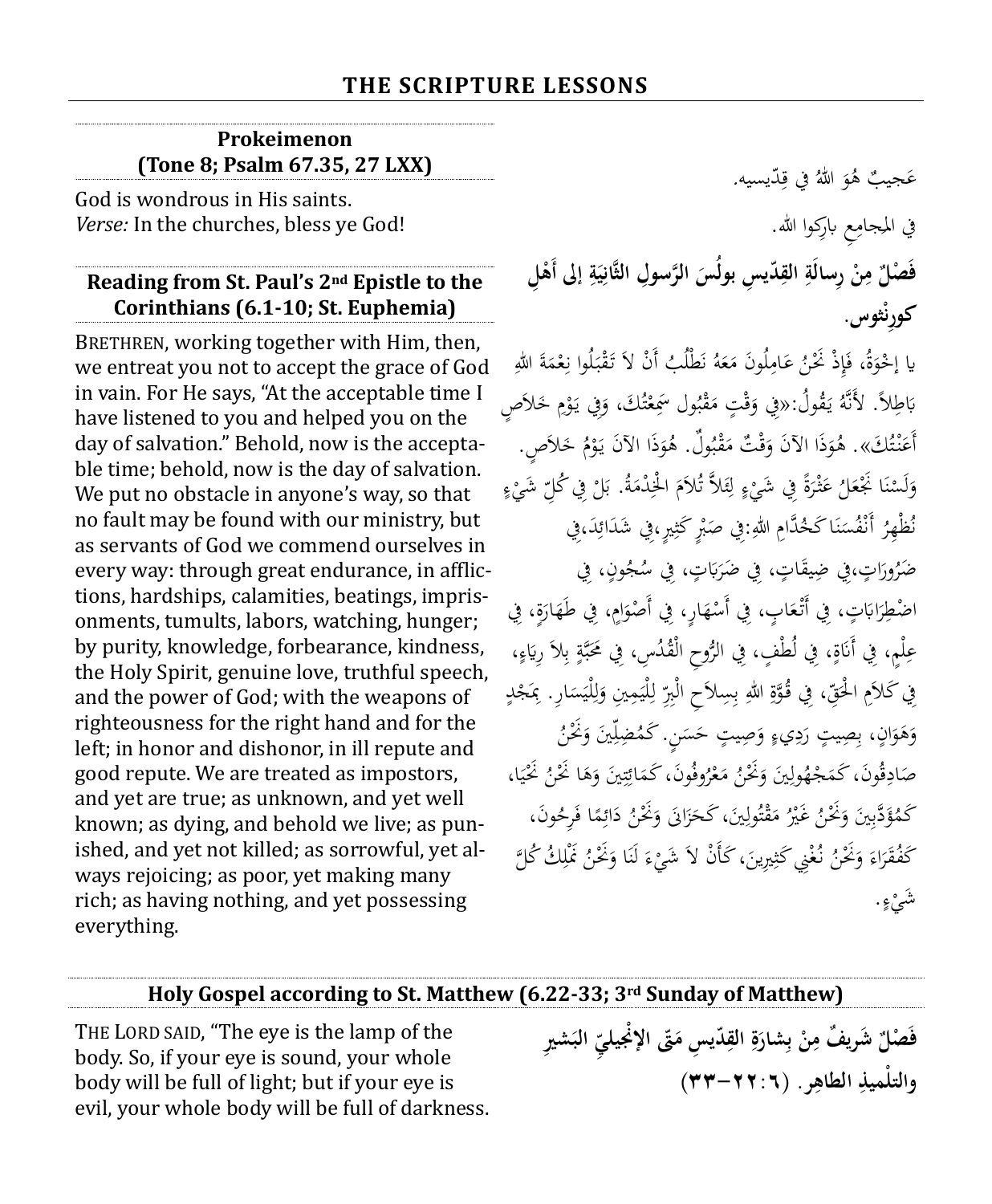#### **Prokeimenon (Tone 8; Psalm 67.35, 27 LXX)**

God is wondrous in His saints. *Verse:* In the churches, bless ye God!

#### **Reading from St. Paul's 2nd Epistle to the Corinthians (6.1-10; St. Euphemia)**

BRETHREN, working together with Him, then, we entreat you not to accept the grace of God in vain. For He says, "At the acceptable time I have listened to you and helped you on the day of salvation." Behold, now is the acceptable time; behold, now is the day of salvation. We put no obstacle in anyone's way, so that no fault may be found with our ministry, but as servants of God we commend ourselves in every way: through great endurance, in afflictions, hardships, calamities, beatings, imprisonments, tumults, labors, watching, hunger; by purity, knowledge, forbearance, kindness, the Holy Spirit, genuine love, truthful speech, and the power of God; with the weapons of righteousness for the right hand and for the left; in honor and dishonor, in ill repute and good repute. We are treated as impostors, and yet are true; as unknown, and yet well known; as dying, and behold we live; as punished, and yet not killed; as sorrowful, yet always rejoicing; as poor, yet making many rich; as having nothing, and yet possessing everything.

 ب َجي ع و ُ ه ُ ّديسيه. للا يف ق َ ِ في المجامِع بارِكوا الله. ِم∕ فَصْلٌ مِنْ رِسالَةِ القِدّيسِ بولُسَ الرَّسولِ الثَّانِيَةِ إلى أَهْلِ **ْ ِ َ ِ َ ِ ِ ْ ِ ْثوس. كوِرن**

يا إِحْوَةُ، فَإِذْ نَحْنُ عَامِلُونَ مَعَهُ نَطْلُبُ أَنْ لاَ تَقْبَلُوا نِعْمَةَ اللهِ<br>.  $\overline{a}$ ِ  $\ddot{\cdot}$ .<br>م ن َ  $\overline{\phantom{a}}$ ∕' َ ٳ ة<br>أ َ بَاطِلاً. لأَنَّهُ يَقُولُ:«فِي وَقْتٍ مَقْبُول سَمِعْتُكَ، وَفِي يَوْمِ خَلاَصٍ<br>ِ **ٍ** ،<br>' يا<br>. ت ْ ب  $\ddot{\epsilon}$  $\overline{\phantom{a}}$ ْ َ يا<br>. َبا َ أَعَنْتُكَ». هُوَذَا الآنَ وَقْتٌ مَقْبُولٌ. هُوَذَا الآنَ يَوْمُ خَلاَصٍ. ْ یہ<br>: َ ب ة<br>م  $\overline{\phantom{a}}$ ْ َ َ ت  $\ddot{\phantom{0}}$ .<br>ء وَلَسْنَا نَجْعَلُ عَثْرَةً فِي شَيْءٍ لِئَلاَّ تُلاَمَ الْخِدْمَةُ. بَلْ فِي كُلِّ شَيْءٍ<br>. ْ ِ **ـ** ب<br>:  $\overline{\phantom{a}}$ َ ئ ِ ل .<br>ء .<br>-ً **ر** َ  $\ddot{\phantom{0}}$ ن .<br>أ َ نُظْهِرُ أَنْفُسَنَا كَخُدَّامِ اللهِ:فِي صَبْرٍ كَثِيرٍ،فِي شَدَائِدَ،فِي ِ ا<br>ا ؚ<br>ڋ <u>ر</u> ْ .<br>. ن  $\ddot{\phantom{0}}$ بر<br>ن .<br>م ضَرُورَاتٍ،فِي ضِيقَاتٍ، فِي ضَرَبَاتٍ، فِي سُجُونٍ، فِي ا َ ب<br>: ر<br>ا ضْطِرَابَاتٍ، فِي أَتْعَابٍ، فِي أَسْهَارٍ، فِي أَصْوَامٍ، فِي طَهَارَةٍ، فِي ر<br>ا َ َ َ **ٔ** َ َبا ر<br>ا ا عِلْمٍ، فِي أَنَاةٍ، فِي لُطْفٍ، فِي الرُّوحِ الْقُدُسِ، فِي مَحَبَّةٍ بِلاَ رِيَاءٍ، .<br>پو يا<br>-ب <u>ۃ</u> ب<br>ج َ  $\ddot{\circ}$ نا<br>ا لْ فِي كَلاَمِ الْحَقِّ، فِي قُوَّةِ اللهِ بِسِلاَحِ الْبِرِّ لِلْيَمِينِ وَلِلْيَسَارِ. بِمَجْدٍ ب َ **ٔ** ِ  $\ddot{\phantom{0}}$ ِ ل َ  $\ddot{\phantom{0}}$ ِ ل ِّرْ وَهَوَانٍ، بِصِيتٍ رَدِيءٍ وَصِيتٍ حَسَنٍ. كَمُضِلِّينَ وَغُنُّ َ ٳٚ  $\ddot{\phantom{0}}$ َ <u>ء</u> ر<br>ا َ َ َ صَادِقُونَ، كَمَجْهُولِينَ وَنَحْنُ مَعْرُوفُونَ، كَمَائِتِينَ وَهَا نَحْنُ نَحْيَا،<br>.  $\ddot{\phantom{0}}$ ي َ َ ِ ت ِ<br>ئ **ه** ْ  $\overline{\phantom{a}}$ َ ِ .<br>. ِ  $\ddot{\phantom{0}}$ كَمُؤَدَّبِينَ وَغُنْ غَيْرُ مَقْتُولِينَ، كَحَزَانَ وَغُنْ دَائِمًا فَرِحُونَ، َ ا .<br>ن َ ِ ت ة<br>م  $\overline{\phantom{a}}$ ْ َ ِ َ َ ً ِ<br>ئ <u>:</u> كَفُقَرَاءَ وَنَحْنُ نُغْنِي كَثِيرِينَ، كَأَنْ لاَ شَيْءَ لَنَا وَنَحْنُ نَمْلِكُ كُلَّ ؚ َ  $\ddot{\phantom{0}}$ </sub> .<br>- $\ddot{\phantom{0}}$ ؚ<br>ڋ .<br>. َ َ ر<br>ا <u>ء</u> ء َشي . ْ

#### **Holy Gospel according to St. Matthew (6.22-33; 3rd Sunday of Matthew)**

THE LORD SAID, "The eye is the lamp of the body. So, if your eye is sound, your whole body will be full of light; but if your eye is evil, your whole body will be full of darkness. فَصْلٌ شَريفٌ مِنْ بِشارَةِ القِدّيسِ مَقّ الإنْجيليِّ البَشيرِ<br>. **ِ ِ َ ب ْ ِ ا ِ والتلْميذ ر. ) لطاه -22:6 33( ِ**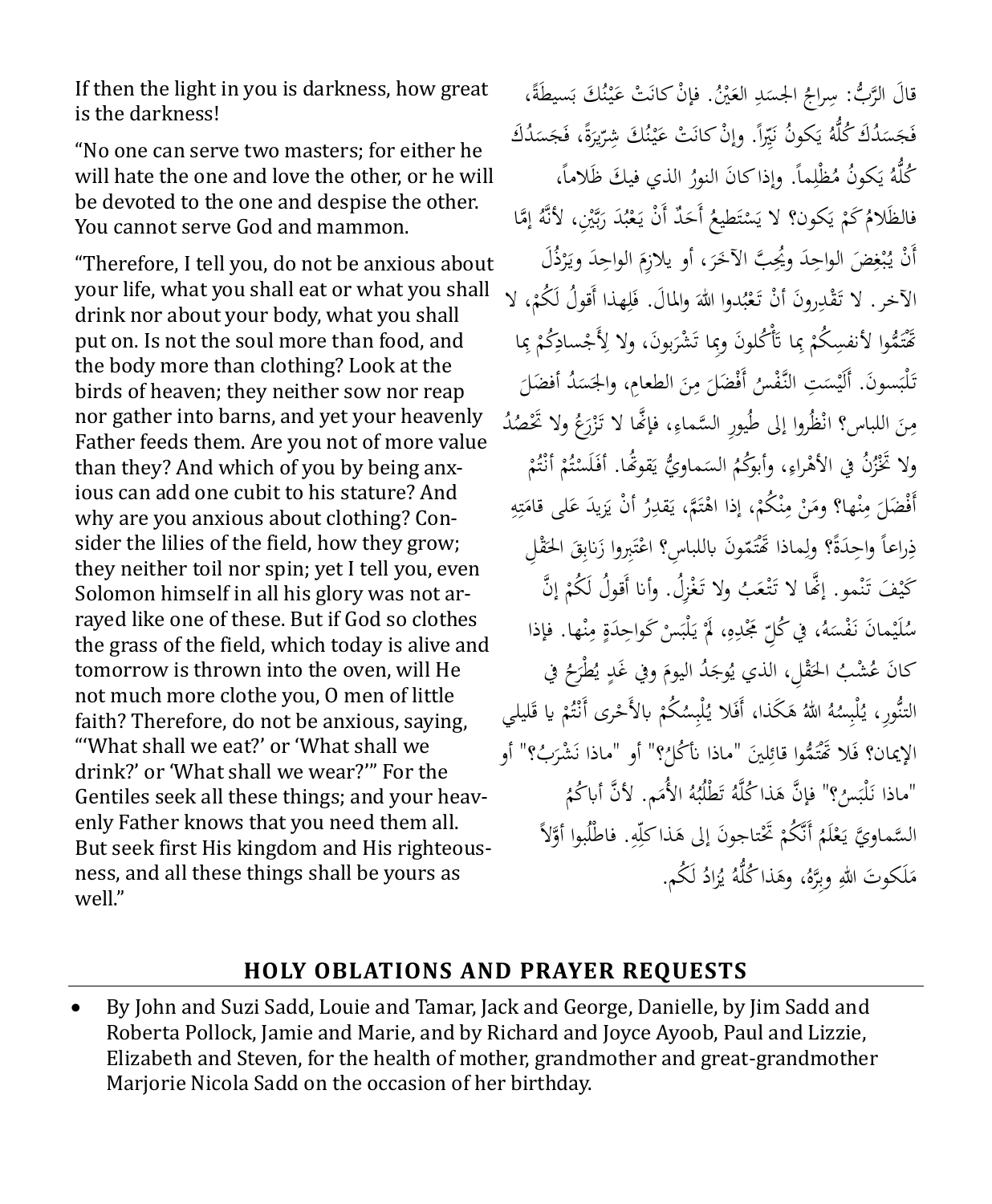If then the light in you is darkness, how great is the darkness!

"No one can serve two masters; for either he will hate the one and love the other, or he will be devoted to the one and despise the other. You cannot serve God and mammon.

"Therefore, I tell you, do not be anxious about your life, what you shall eat or what you shall drink nor about your body, what you shall put on. Is not the soul more than food, and the body more than clothing? Look at the birds of heaven; they neither sow nor reap nor gather into barns, and yet your heavenly Father feeds them. Are you not of more value than they? And which of you by being anxious can add one cubit to his stature? And why are you anxious about clothing? Consider the lilies of the field, how they grow; they neither toil nor spin; yet I tell you, even Solomon himself in all his glory was not arrayed like one of these. But if God so clothes the grass of the field, which today is alive and tomorrow is thrown into the oven, will He not much more clothe you, O men of little faith? Therefore, do not be anxious, saying, "'What shall we eat?' or 'What shall we drink?' or 'What shall we wear?'" For the Gentiles seek all these things; and your heavenly Father knows that you need them all. But seek first His kingdom and His righteousness, and all these things shall be yours as well."

قالَ الرَّبُّ: سِراجُ الجسَدِ العَيْنُ. فإنْ كانَتْ عَيْنُكَ بَسيطَةً،<br>. ن **∶** َ  $\ddot{\phantom{0}}$ فَجَسَنُكُ كُلُّهُ يَكونُ نَيِّراً. وإنْ كانَتْ عَيْنُكَ شِرِّيرَةً، فَجَسَنُكُ َ ر<br>ا ن **∶** َ ا ِ<br>د ي  $\ddot{\phantom{0}}$ كُلَّهُ يَكونُ مُظْلِماً. وإذاكانَ النورُ الذي فيكَ ظَلاماً،<br>-ِ ي يا<br>. فالظَلامُ كَمْ يَكون؟ لا يَسْتَطيعُ أَحَدٌ أَنْ يَعْبُدَ رَبَّيْنِ، لأَنَّهُ إِمَّا ي ْ إ بر<br>ب ر<br>ا ب ْ یہ<br>ا ت ْ أَنْ يُبْغِضَ الواحِدَ ويُحِبَّ الآخَرَ، أَو يلازِمَ الواحِدَ ويَرْذُلَ ر<br>ا ب<br>: َ ر<br>. َ ِ .<br>. ب ، ال هذا أَقوُل لَ ُكم ل واملاَل. ف دوا للا ُ َع ْن ت روَن أ ْدِ َق ْ ِ َ َ ب ْ الآخر . لا تَقْدِرونَ أنْ تَعْبُدوا اللهَ والمالَ. فَلِهذا أقولَ لَكُمْ، '<br>تَقْتَمُّوا لأنفسِكُمْ بِما تَأْكُلونَ وبِما تَشْرَبونَ، ولا لِأَجْسادِكُمْ بِما ر<br>ا ْ ت<br>ا ِ ْ ِ ْ <u>ِ</u> َ تَلْبَسونَ. أَلَيْسَتِ النَّفْسُ أَفْضَلَ مِنَ الطعامِ، والجَسَدُ أفضَلَ<br>تَلْبَسونَ. </sub>  $\ddot{\phantom{0}}$ ِ<br>ِم ٍ<sup>ّ</sup> ة<br>م  $\ddot{\phantom{0}}$ ت<br>ا مِنَ اللباس؟ انْظُروا إلى طُيورِ السَّماءِ، فإنَّما لا تَزْرَعُ ولا تَحْصُدُ ز<br>( ِ  $\ddot{\phantom{0}}$ ِم ْ ولا تْخْزُنْ في الأهْراءِ، وأبوُكُمُ السَماويُّ يَقوَّهَا. أفَلَسْتُمْ أَنْتُمْ<br>ِ ت .<br>. ْ ت ــ<br>أ َ يا<br>. </sub> ِ å<br>. أَفْضَلَ مِنْها؟ ومَنْ مِنْكُمْ، إذا اهْتَمَّ، يَقْدِرُ أَنْ يَزِيدَ عَلَى قَامَتِهِ ِ ٍ<br>بر ت  $\overline{\phantom{a}}$ َ ا<br>ا أ يا<br>. ت å<br>
<sup>1</sup> ْ ن ِم  $\ddot{\phantom{0}}$  $\overline{\phantom{a}}$ ن ِ  $\overline{a}$ <u>ٔ</u> ذِراعاً واحِدَةً؟ ولِماذا تَّمَتَمّونَ باللباسِ؟ اعْتَبِروا زَنابِقَ الحَقْلِ ة<br>م َ :<br>ا .<br>أ ت **ٔ** ت ِ ٍ<br>ا ِ كَيْفَ تَنْمو. إِنَّهَا لا تَتْعَبُ ولا تَغْزِلُ. وأنا أَقولُ لَكُمْ إِنَّ ْ .<br>ئ ٌ ن ت<br>ا ِ سُلَيْمانَ نَفْسَهُ، في كُلِّ مَجْدِهِ، لَمَّ يَلْبَسْ كَواحِدَةٍ مِنْها. فإذا  $\ddot{\phantom{0}}$ **∶** ∕'  $\ddot{\circ}$ ٍ<br>ا **ـ** یہ<br>ا **أ** ِ كانَ عُشْبُ الحَقْلِ، الذي يُوجَدُ اليومَ وفي غَدٍ يُطْرَحُ في<br>. و<br>يو َ .<br>. ْ َ التنُّورِ، يُلْبِسُهُ اللهُ هَكَذا، أَفَلا يُلْبِسُكُمْ بالأَحْرَى أَنْتُمْ يا قَليلي َ ْ ت .<br>. ْ ْ َ ؟" أو "ماذا ُ َني "ماذا أن ُكل ل َ ُّموا قائ َ ُب اإلَيان؟ ف ؟" أو َال ََتْ َ ْشر ِ ت ن "ماذا نَلْبَسُ؟" فإنَّ هَذا كُلَّهُ تَطْلُبُهُ الأُمَم. لأنَّ أباكُمُ<br>"ماذا نَلْبَسُ؟" فإنَّ هَذا كُلَّهُ تَطْلُبُهُ الأُمَم. لأنَّ أباكُمُ َ ت .<br>. َّوالً . فاطْلُبوا أ ه َذاكلّ تاجوَن إىل ه ََتْ أَنَّ ُكم ُ لَم ع َّسماو َّي ي ال ِ ٳٚ ْ ْ یہ<br>ا مَلَكوتَ اللهِ وبِرَّهُ، وهَذا كُلُّهُ يُزادُ لَكُم. و<br>إ  $\overline{\phantom{a}}$ 

#### **HOLY OBLATIONS AND PRAYER REQUESTS**

• By John and Suzi Sadd, Louie and Tamar, Jack and George, Danielle, by Jim Sadd and Roberta Pollock, Jamie and Marie, and by Richard and Joyce Ayoob, Paul and Lizzie, Elizabeth and Steven, for the health of mother, grandmother and great-grandmother Marjorie Nicola Sadd on the occasion of her birthday.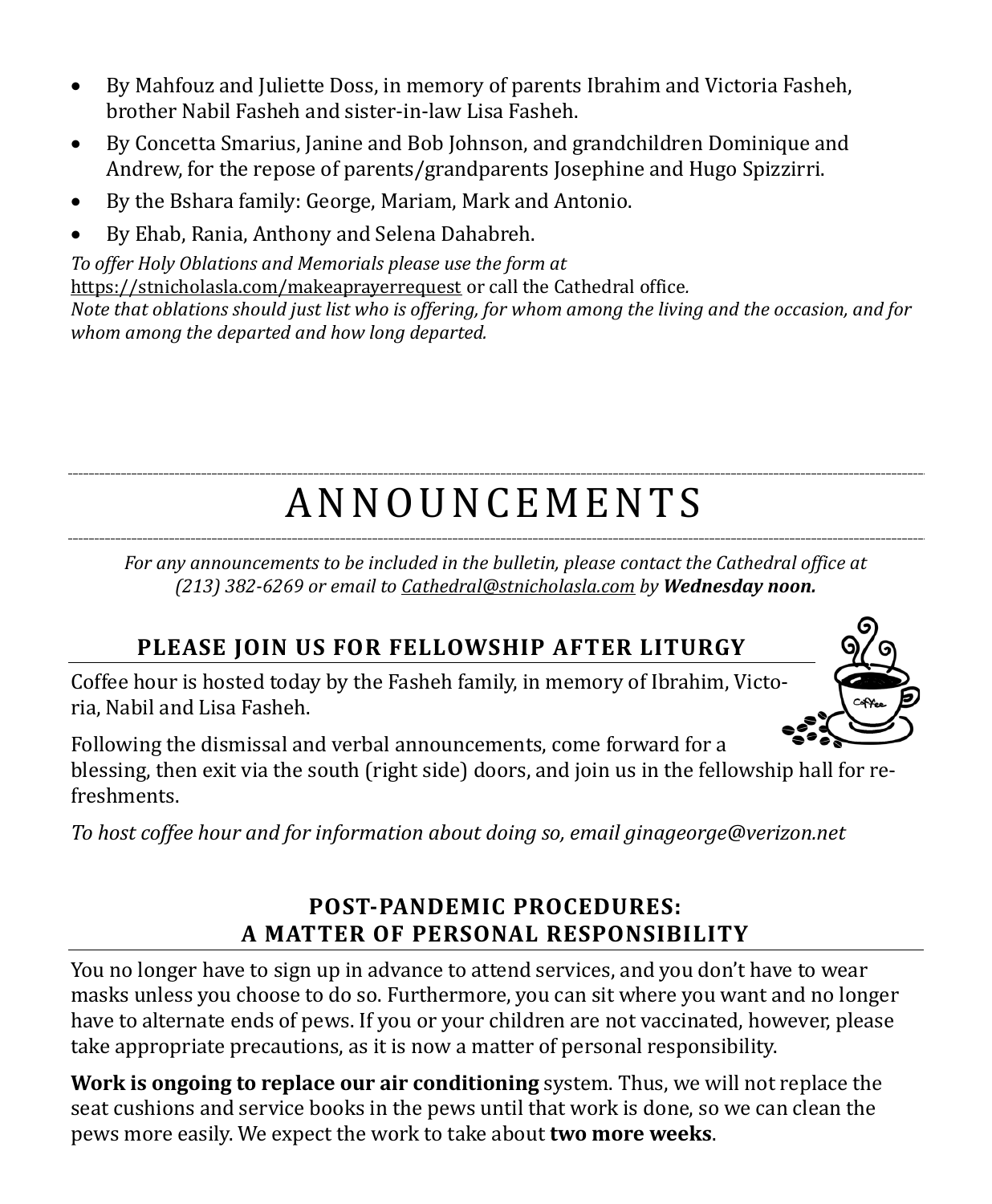- By Mahfouz and Juliette Doss, in memory of parents Ibrahim and Victoria Fasheh, brother Nabil Fasheh and sister-in-law Lisa Fasheh.
- By Concetta Smarius, Janine and Bob Johnson, and grandchildren Dominique and Andrew, for the repose of parents/grandparents Josephine and Hugo Spizzirri.
- By the Bshara family: George, Mariam, Mark and Antonio.
- By Ehab, Rania, Anthony and Selena Dahabreh.

*To offer Holy Oblations and Memorials please use the form at*  <https://stnicholasla.com/makeaprayerrequest> or call the Cathedral office*. Note that oblations should just list who is offering, for whom among the living and the occasion, and for whom among the departed and how long departed.*

# A N N O U N CE M E N T S

*For any announcements to be included in the bulletin, please contact the Cathedral office at (213) 382-6269 or email to [Cathedral@stnicholasla.com](mailto:Cathedral@stnicholasla.com) by Wednesday noon.*

# **PLEASE JOIN US FOR FELLOWSHIP AFTER LITURGY**

Coffee hour is hosted today by the Fasheh family, in memory of Ibrahim, Victoria, Nabil and Lisa Fasheh.



Following the dismissal and verbal announcements, come forward for a blessing, then exit via the south (right side) doors, and join us in the fellowship hall for refreshments.

*To host coffee hour and for information about doing so, emai[l ginageorge@verizon.net](mailto:ginageorge@verizon.net)*

## **POST-PANDEMIC PROCEDURES: A MATTER OF PERSONAL RESPONSIBILITY**

You no longer have to sign up in advance to attend services, and you don't have to wear masks unless you choose to do so. Furthermore, you can sit where you want and no longer have to alternate ends of pews. If you or your children are not vaccinated, however, please take appropriate precautions, as it is now a matter of personal responsibility.

**Work is ongoing to replace our air conditioning** system. Thus, we will not replace the seat cushions and service books in the pews until that work is done, so we can clean the pews more easily. We expect the work to take about **two more weeks**.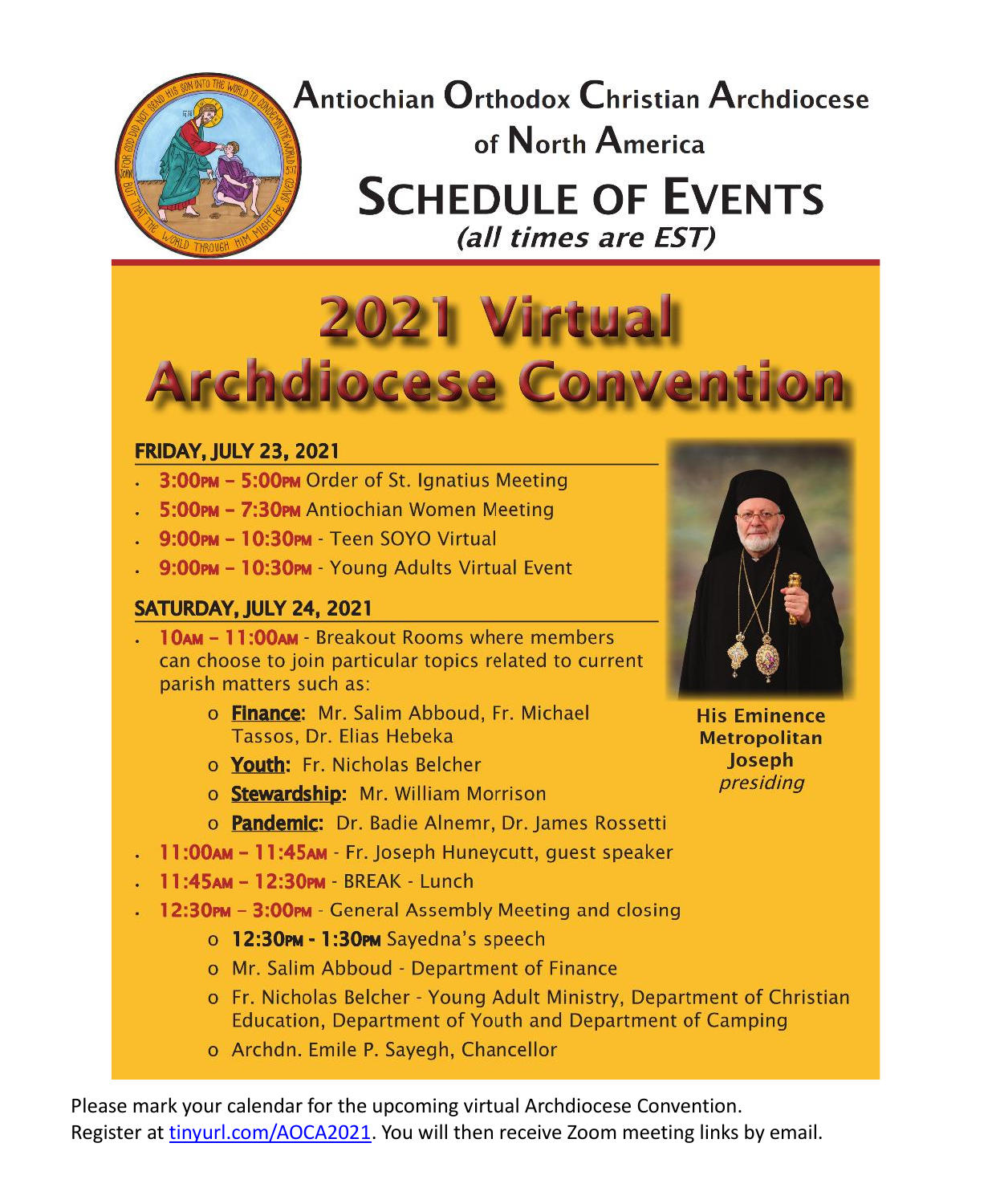

Antiochian Orthodox Christian Archdiocese of North America **SCHEDULE OF EVENTS** (all times are EST)



#### **FRIDAY, JULY 23, 2021**

- . 3:00PM 5:00PM Order of St. Ignatius Meeting
- . 5:00PM 7:30PM Antiochian Women Meeting
- 9:00PM 10:30PM Teen SOYO Virtual
- . 9:00PM 10:30PM Young Adults Virtual Event

#### SATURDAY, JULY 24, 2021

- . 10AM 11:00AM Breakout Rooms where members can choose to join particular topics related to current parish matters such as:
	- o Finance: Mr. Salim Abboud, Fr. Michael Tassos, Dr. Elias Hebeka
	- o Youth: Fr. Nicholas Belcher
	- o Stewardship: Mr. William Morrison
	- o Pandemic: Dr. Badie Alnemr, Dr. James Rossetti
- 11:00AM 11:45AM Fr. Joseph Huneycutt, quest speaker
- . 11:45AM 12:30PM BREAK Lunch
- 12:30PM 3:00PM General Assembly Meeting and closing
	- o 12:30PM 1:30PM Sayedna's speech
	- o Mr. Salim Abboud Department of Finance
	- o Fr. Nicholas Belcher Young Adult Ministry, Department of Christian Education, Department of Youth and Department of Camping
	- o Archdn. Emile P. Sayegh, Chancellor

Please mark your calendar for the upcoming virtual Archdiocese Convention. Register at [tinyurl.com/AOCA2021.](https://docs.google.com/forms/d/e/1FAIpQLSdJwY4jk7yAfa2Wkh10cHH4ck-9rEHE1Sz2R9TsoqITCH1q8w/viewform) You will then receive Zoom meeting links by email.



**His Eminence Metropolitan** Joseph presiding